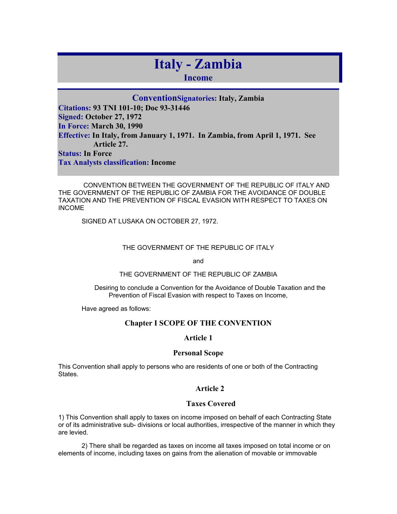# **Italy - Zambia**

**Income** 

## **ConventionSignatories: Italy, Zambia**

**Citations: 93 TNI 101-10; Doc 93-31446 Signed: October 27, 1972 In Force: March 30, 1990 Effective: In Italy, from January 1, 1971. In Zambia, from April 1, 1971. See Article 27. Status: In Force Tax Analysts classification: Income** 

 CONVENTION BETWEEN THE GOVERNMENT OF THE REPUBLIC OF ITALY AND THE GOVERNMENT OF THE REPUBLIC OF ZAMBIA FOR THE AVOIDANCE OF DOUBLE TAXATION AND THE PREVENTION OF FISCAL EVASION WITH RESPECT TO TAXES ON INCOME

SIGNED AT LUSAKA ON OCTOBER 27, 1972.

## THE GOVERNMENT OF THE REPUBLIC OF ITALY

and

THE GOVERNMENT OF THE REPUBLIC OF ZAMBIA

Desiring to conclude a Convention for the Avoidance of Double Taxation and the Prevention of Fiscal Evasion with respect to Taxes on Income,

Have agreed as follows:

## **Chapter I SCOPE OF THE CONVENTION**

## **Article 1**

## **Personal Scope**

This Convention shall apply to persons who are residents of one or both of the Contracting States.

## **Article 2**

## **Taxes Covered**

1) This Convention shall apply to taxes on income imposed on behalf of each Contracting State or of its administrative sub- divisions or local authorities, irrespective of the manner in which they are levied.

2) There shall be regarded as taxes on income all taxes imposed on total income or on elements of income, including taxes on gains from the alienation of movable or immovable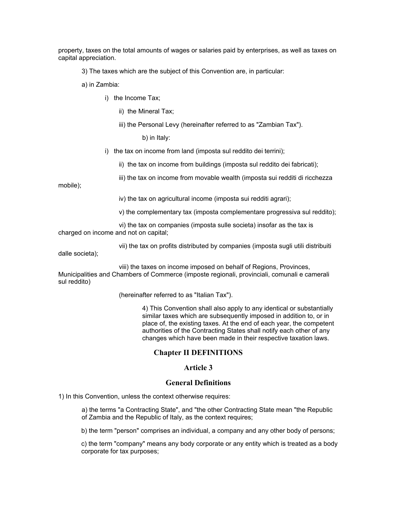property, taxes on the total amounts of wages or salaries paid by enterprises, as well as taxes on capital appreciation.

3) The taxes which are the subject of this Convention are, in particular:

a) in Zambia:

- i) the Income Tax;
	- ii) the Mineral Tax;
	- iii) the Personal Levy (hereinafter referred to as "Zambian Tax").

b) in Italy:

- i) the tax on income from land (imposta sul reddito dei terrini);
	- ii) the tax on income from buildings (imposta sul reddito dei fabricati);
	- iii) the tax on income from movable wealth (imposta sui redditi di ricchezza

mobile);

- iv) the tax on agricultural income (imposta sui redditi agrari);
- v) the complementary tax (imposta complementare progressiva sul reddito);

vi) the tax on companies (imposta sulle societa) insofar as the tax is charged on income and not on capital;

vii) the tax on profits distributed by companies (imposta sugli utili distribuiti

dalle societa);

viii) the taxes on income imposed on behalf of Regions, Provinces, Municipalities and Chambers of Commerce (imposte regionali, provinciali, comunali e camerali sul reddito)

(hereinafter referred to as "Italian Tax").

4) This Convention shall also apply to any identical or substantially similar taxes which are subsequently imposed in addition to, or in place of, the existing taxes. At the end of each year, the competent authorities of the Contracting States shall notify each other of any changes which have been made in their respective taxation laws.

## **Chapter II DEFINITIONS**

#### **Article 3**

#### **General Definitions**

1) In this Convention, unless the context otherwise requires:

a) the terms "a Contracting State", and "the other Contracting State mean "the Republic of Zambia and the Republic of Italy, as the context requires;

b) the term "person" comprises an individual, a company and any other body of persons;

c) the term "company" means any body corporate or any entity which is treated as a body corporate for tax purposes;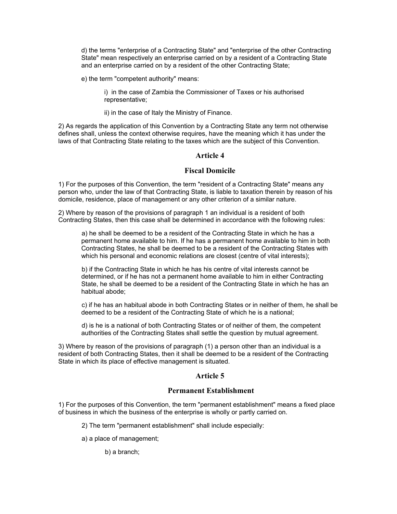d) the terms "enterprise of a Contracting State" and "enterprise of the other Contracting State" mean respectively an enterprise carried on by a resident of a Contracting State and an enterprise carried on by a resident of the other Contracting State;

e) the term "competent authority" means:

i) in the case of Zambia the Commissioner of Taxes or his authorised representative;

ii) in the case of Italy the Ministry of Finance.

2) As regards the application of this Convention by a Contracting State any term not otherwise defines shall, unless the context otherwise requires, have the meaning which it has under the laws of that Contracting State relating to the taxes which are the subject of this Convention.

#### **Article 4**

#### **Fiscal Domicile**

1) For the purposes of this Convention, the term "resident of a Contracting State" means any person who, under the law of that Contracting State, is liable to taxation therein by reason of his domicile, residence, place of management or any other criterion of a similar nature.

2) Where by reason of the provisions of paragraph 1 an individual is a resident of both Contracting States, then this case shall be determined in accordance with the following rules:

a) he shall be deemed to be a resident of the Contracting State in which he has a permanent home available to him. If he has a permanent home available to him in both Contracting States, he shall be deemed to be a resident of the Contracting States with which his personal and economic relations are closest (centre of vital interests);

b) if the Contracting State in which he has his centre of vital interests cannot be determined, or if he has not a permanent home available to him in either Contracting State, he shall be deemed to be a resident of the Contracting State in which he has an habitual abode;

c) if he has an habitual abode in both Contracting States or in neither of them, he shall be deemed to be a resident of the Contracting State of which he is a national;

d) is he is a national of both Contracting States or of neither of them, the competent authorities of the Contracting States shall settle the question by mutual agreement.

3) Where by reason of the provisions of paragraph (1) a person other than an individual is a resident of both Contracting States, then it shall be deemed to be a resident of the Contracting State in which its place of effective management is situated.

## **Article 5**

#### **Permanent Establishment**

1) For the purposes of this Convention, the term "permanent establishment" means a fixed place of business in which the business of the enterprise is wholly or partly carried on.

2) The term "permanent establishment" shall include especially:

a) a place of management;

b) a branch;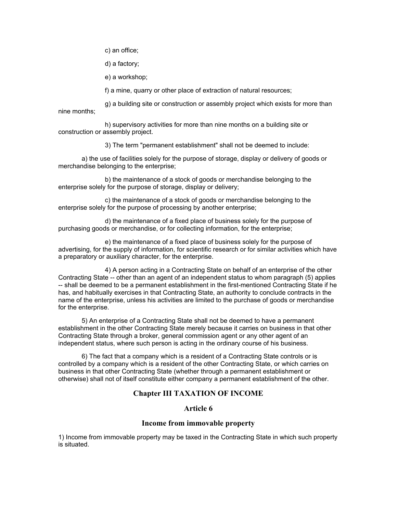c) an office;

d) a factory;

e) a workshop;

f) a mine, quarry or other place of extraction of natural resources;

g) a building site or construction or assembly project which exists for more than nine months;

h) supervisory activities for more than nine months on a building site or construction or assembly project.

3) The term "permanent establishment" shall not be deemed to include:

a) the use of facilities solely for the purpose of storage, display or delivery of goods or merchandise belonging to the enterprise;

b) the maintenance of a stock of goods or merchandise belonging to the enterprise solely for the purpose of storage, display or delivery;

c) the maintenance of a stock of goods or merchandise belonging to the enterprise solely for the purpose of processing by another enterprise;

d) the maintenance of a fixed place of business solely for the purpose of purchasing goods or merchandise, or for collecting information, for the enterprise;

e) the maintenance of a fixed place of business solely for the purpose of advertising, for the supply of information, for scientific research or for similar activities which have a preparatory or auxiliary character, for the enterprise.

4) A person acting in a Contracting State on behalf of an enterprise of the other Contracting State -- other than an agent of an independent status to whom paragraph (5) applies -- shall be deemed to be a permanent establishment in the first-mentioned Contracting State if he has, and habitually exercises in that Contracting State, an authority to conclude contracts in the name of the enterprise, unless his activities are limited to the purchase of goods or merchandise for the enterprise.

5) An enterprise of a Contracting State shall not be deemed to have a permanent establishment in the other Contracting State merely because it carries on business in that other Contracting State through a broker, general commission agent or any other agent of an independent status, where such person is acting in the ordinary course of his business.

6) The fact that a company which is a resident of a Contracting State controls or is controlled by a company which is a resident of the other Contracting State, or which carries on business in that other Contracting State (whether through a permanent establishment or otherwise) shall not of itself constitute either company a permanent establishment of the other.

## **Chapter III TAXATION OF INCOME**

## **Article 6**

#### **Income from immovable property**

1) Income from immovable property may be taxed in the Contracting State in which such property is situated.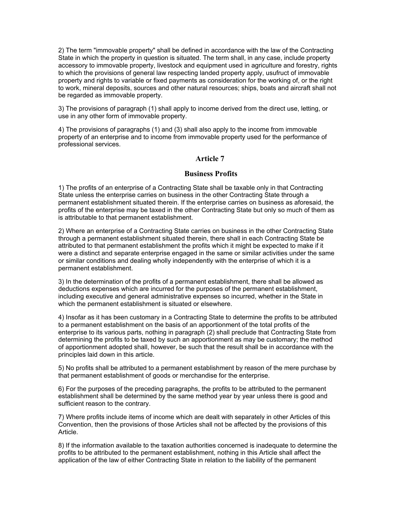2) The term "immovable property" shall be defined in accordance with the law of the Contracting State in which the property in question is situated. The term shall, in any case, include property accessory to immovable property, livestock and equipment used in agriculture and forestry, rights to which the provisions of general law respecting landed property apply, usufruct of immovable property and rights to variable or fixed payments as consideration for the working of, or the right to work, mineral deposits, sources and other natural resources; ships, boats and aircraft shall not be regarded as immovable property.

3) The provisions of paragraph (1) shall apply to income derived from the direct use, letting, or use in any other form of immovable property.

4) The provisions of paragraphs (1) and (3) shall also apply to the income from immovable property of an enterprise and to income from immovable property used for the performance of professional services.

## **Article 7**

## **Business Profits**

1) The profits of an enterprise of a Contracting State shall be taxable only in that Contracting State unless the enterprise carries on business in the other Contracting State through a permanent establishment situated therein. If the enterprise carries on business as aforesaid, the profits of the enterprise may be taxed in the other Contracting State but only so much of them as is attributable to that permanent establishment.

2) Where an enterprise of a Contracting State carries on business in the other Contracting State through a permanent establishment situated therein, there shall in each Contracting State be attributed to that permanent establishment the profits which it might be expected to make if it were a distinct and separate enterprise engaged in the same or similar activities under the same or similar conditions and dealing wholly independently with the enterprise of which it is a permanent establishment.

3) In the determination of the profits of a permanent establishment, there shall be allowed as deductions expenses which are incurred for the purposes of the permanent establishment, including executive and general administrative expenses so incurred, whether in the State in which the permanent establishment is situated or elsewhere.

4) Insofar as it has been customary in a Contracting State to determine the profits to be attributed to a permanent establishment on the basis of an apportionment of the total profits of the enterprise to its various parts, nothing in paragraph (2) shall preclude that Contracting State from determining the profits to be taxed by such an apportionment as may be customary; the method of apportionment adopted shall, however, be such that the result shall be in accordance with the principles laid down in this article.

5) No profits shall be attributed to a permanent establishment by reason of the mere purchase by that permanent establishment of goods or merchandise for the enterprise.

6) For the purposes of the preceding paragraphs, the profits to be attributed to the permanent establishment shall be determined by the same method year by year unless there is good and sufficient reason to the contrary.

7) Where profits include items of income which are dealt with separately in other Articles of this Convention, then the provisions of those Articles shall not be affected by the provisions of this Article.

8) If the information available to the taxation authorities concerned is inadequate to determine the profits to be attributed to the permanent establishment, nothing in this Article shall affect the application of the law of either Contracting State in relation to the liability of the permanent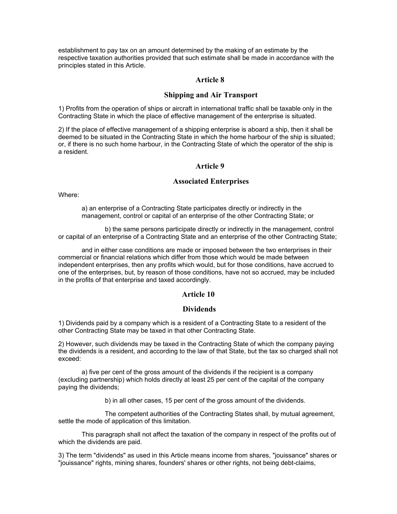establishment to pay tax on an amount determined by the making of an estimate by the respective taxation authorities provided that such estimate shall be made in accordance with the principles stated in this Article.

## **Article 8**

#### **Shipping and Air Transport**

1) Profits from the operation of ships or aircraft in international traffic shall be taxable only in the Contracting State in which the place of effective management of the enterprise is situated.

2) If the place of effective management of a shipping enterprise is aboard a ship, then it shall be deemed to be situated in the Contracting State in which the home harbour of the ship is situated; or, if there is no such home harbour, in the Contracting State of which the operator of the ship is a resident.

#### **Article 9**

#### **Associated Enterprises**

Where:

a) an enterprise of a Contracting State participates directly or indirectly in the management, control or capital of an enterprise of the other Contracting State; or

b) the same persons participate directly or indirectly in the management, control or capital of an enterprise of a Contracting State and an enterprise of the other Contracting State;

and in either case conditions are made or imposed between the two enterprises in their commercial or financial relations which differ from those which would be made between independent enterprises, then any profits which would, but for those conditions, have accrued to one of the enterprises, but, by reason of those conditions, have not so accrued, may be included in the profits of that enterprise and taxed accordingly.

#### **Article 10**

#### **Dividends**

1) Dividends paid by a company which is a resident of a Contracting State to a resident of the other Contracting State may be taxed in that other Contracting State.

2) However, such dividends may be taxed in the Contracting State of which the company paying the dividends is a resident, and according to the law of that State, but the tax so charged shall not exceed:

a) five per cent of the gross amount of the dividends if the recipient is a company (excluding partnership) which holds directly at least 25 per cent of the capital of the company paying the dividends;

b) in all other cases, 15 per cent of the gross amount of the dividends.

The competent authorities of the Contracting States shall, by mutual agreement, settle the mode of application of this limitation.

This paragraph shall not affect the taxation of the company in respect of the profits out of which the dividends are paid.

3) The term "dividends" as used in this Article means income from shares, "jouissance" shares or "jouissance" rights, mining shares, founders' shares or other rights, not being debt-claims,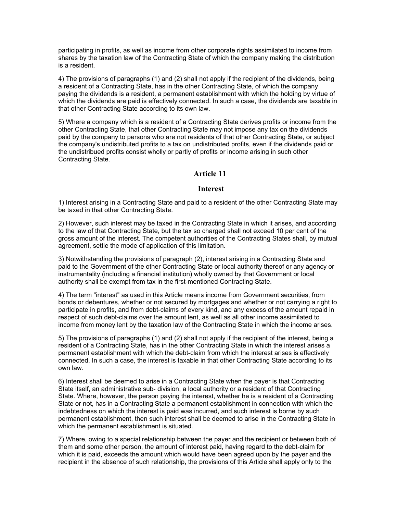participating in profits, as well as income from other corporate rights assimilated to income from shares by the taxation law of the Contracting State of which the company making the distribution is a resident.

4) The provisions of paragraphs (1) and (2) shall not apply if the recipient of the dividends, being a resident of a Contracting State, has in the other Contracting State, of which the company paying the dividends is a resident, a permanent establishment with which the holding by virtue of which the dividends are paid is effectively connected. In such a case, the dividends are taxable in that other Contracting State according to its own law.

5) Where a company which is a resident of a Contracting State derives profits or income from the other Contracting State, that other Contracting State may not impose any tax on the dividends paid by the company to persons who are not residents of that other Contracting State, or subject the company's undistributed profits to a tax on undistributed profits, even if the dividends paid or the undistribued profits consist wholly or partly of profits or income arising in such other Contracting State.

## **Article 11**

#### **Interest**

1) Interest arising in a Contracting State and paid to a resident of the other Contracting State may be taxed in that other Contracting State.

2) However, such interest may be taxed in the Contracting State in which it arises, and according to the law of that Contracting State, but the tax so charged shall not exceed 10 per cent of the gross amount of the interest. The competent authorities of the Contracting States shall, by mutual agreement, settle the mode of application of this limitation.

3) Notwithstanding the provisions of paragraph (2), interest arising in a Contracting State and paid to the Government of the other Contracting State or local authority thereof or any agency or instrumentality (including a financial institution) wholly owned by that Government or local authority shall be exempt from tax in the first-mentioned Contracting State.

4) The term "interest" as used in this Article means income from Government securities, from bonds or debentures, whether or not secured by mortgages and whether or not carrying a right to participate in profits, and from debt-claims of every kind, and any excess of the amount repaid in respect of such debt-claims over the amount lent, as well as all other income assimilated to income from money lent by the taxation law of the Contracting State in which the income arises.

5) The provisions of paragraphs (1) and (2) shall not apply if the recipient of the interest, being a resident of a Contracting State, has in the other Contracting State in which the interest arises a permanent establishment with which the debt-claim from which the interest arises is effectively connected. In such a case, the interest is taxable in that other Contracting State according to its own law.

6) Interest shall be deemed to arise in a Contracting State when the payer is that Contracting State itself, an administrative sub- division, a local authority or a resident of that Contracting State. Where, however, the person paying the interest, whether he is a resident of a Contracting State or not, has in a Contracting State a permanent establishment in connection with which the indebtedness on which the interest is paid was incurred, and such interest is borne by such permanent establishment, then such interest shall be deemed to arise in the Contracting State in which the permanent establishment is situated.

7) Where, owing to a special relationship between the payer and the recipient or between both of them and some other person, the amount of interest paid, having regard to the debt-claim for which it is paid, exceeds the amount which would have been agreed upon by the payer and the recipient in the absence of such relationship, the provisions of this Article shall apply only to the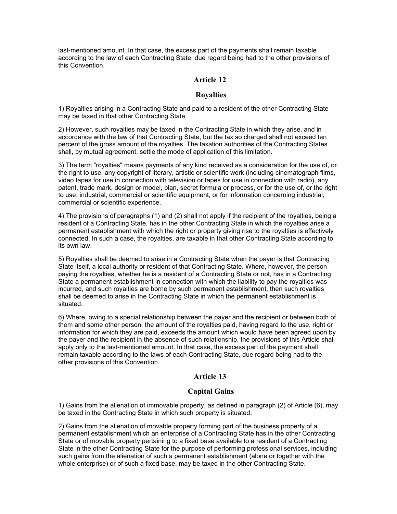last-mentioned amount. In that case, the excess part of the payments shall remain taxable according to the law of each Contracting State, due regard being had to the other provisions of this Convention.

## **Article 12**

## **Royalties**

1) Royalties arising in a Contracting State and paid to a resident of the other Contracting State may be taxed in that other Contracting State.

2) However, such royalties may be taxed in the Contracting State in which they arise, and in accordance with the law of that Contracting State, but the tax so charged shall not exceed ten percent of the gross amount of the royalties. The taxation authorities of the Contracting States shall, by mutual agreement, settle the mode of application of this limitation.

3) The term "royalties" means payments of any kind received as a consideration for the use of, or the right to use, any copyright of literary, artistic or scientific work (including cinematograph films, video tapes for use in connection with television or tapes for use in connection with radio), any patent, trade mark, design or model, plan, secret formula or process, or for the use of, or the right to use, industrial, commercial or scientific equipment, or for information concerning industrial, commercial or scientific experience.

4) The provisions of paragraphs (1) and (2) shall not apply if the recipient of the royalties, being a resident of a Contracting State, has in the other Contracting State in which the royalties arise a permanent establishment with which the right or property giving rise to the royalties is effectively connected. In such a case, the royalties, are taxable in that other Contracting State according to its own law.

5) Royalties shall be deemed to arise in a Contracting State when the payer is that Contracting State itself, a local authority or resident of that Contracting State. Where, however, the person paying the royalties, whether he is a resident of a Contracting State or not, has in a Contracting State a permanent establishment in connection with which the liability to pay the royalties was incurred, and such royalties are borne by such permanent establishment, then such royalties shall be deemed to arise in the Contracting State in which the permanent establishment is situated.

6) Where, owing to a special relationship between the payer and the recipient or between both of them and some other person, the amount of the royalties paid, having regard to the use, right or information for which they are paid, exceeds the amount which would have been agreed upon by the payer and the recipient in the absence of such relationship, the provisions of this Article shall apply only to the last-mentioned amount. In that case, the excess part of the payment shall remain taxable according to the laws of each Contracting State, due regard being had to the other provisions of this Convention.

## **Article 13**

## **Capital Gains**

1) Gains from the alienation of immovable property, as defined in paragraph (2) of Article (6), may be taxed in the Contracting State in which such property is situated.

2) Gains from the alienation of movable property forming part of the business property of a permanent establishment which an enterprise of a Contracting State has in the other Contracting State or of movable property pertaining to a fixed base available to a resident of a Contracting State in the other Contracting State for the purpose of performing professional services, including such gains from the alienation of such a permanent establishment (alone or together with the whole enterprise) or of such a fixed base, may be taxed in the other Contracting State.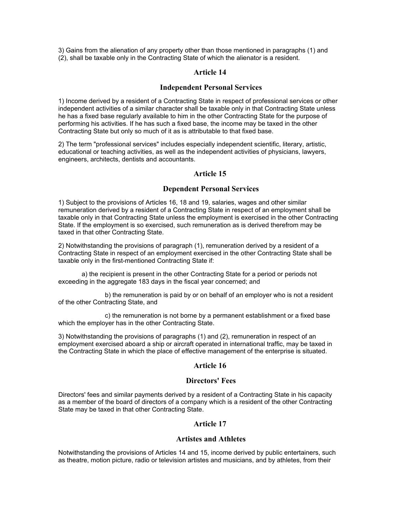3) Gains from the alienation of any property other than those mentioned in paragraphs (1) and (2), shall be taxable only in the Contracting State of which the alienator is a resident.

## **Article 14**

#### **Independent Personal Services**

1) Income derived by a resident of a Contracting State in respect of professional services or other independent activities of a similar character shall be taxable only in that Contracting State unless he has a fixed base regularly available to him in the other Contracting State for the purpose of performing his activities. If he has such a fixed base, the income may be taxed in the other Contracting State but only so much of it as is attributable to that fixed base.

2) The term "professional services" includes especially independent scientific, literary, artistic, educational or teaching activities, as well as the independent activities of physicians, lawyers, engineers, architects, dentists and accountants.

## **Article 15**

## **Dependent Personal Services**

1) Subject to the provisions of Articles 16, 18 and 19, salaries, wages and other similar remuneration derived by a resident of a Contracting State in respect of an employment shall be taxable only in that Contracting State unless the employment is exercised in the other Contracting State. If the employment is so exercised, such remuneration as is derived therefrom may be taxed in that other Contracting State.

2) Notwithstanding the provisions of paragraph (1), remuneration derived by a resident of a Contracting State in respect of an employment exercised in the other Contracting State shall be taxable only in the first-mentioned Contracting State if:

a) the recipient is present in the other Contracting State for a period or periods not exceeding in the aggregate 183 days in the fiscal year concerned; and

b) the remuneration is paid by or on behalf of an employer who is not a resident of the other Contracting State, and

c) the remuneration is not borne by a permanent establishment or a fixed base which the employer has in the other Contracting State.

3) Notwithstanding the provisions of paragraphs (1) and (2), remuneration in respect of an employment exercised aboard a ship or aircraft operated in international traffic, may be taxed in the Contracting State in which the place of effective management of the enterprise is situated.

## **Article 16**

#### **Directors' Fees**

Directors' fees and similar payments derived by a resident of a Contracting State in his capacity as a member of the board of directors of a company which is a resident of the other Contracting State may be taxed in that other Contracting State.

#### **Article 17**

#### **Artistes and Athletes**

Notwithstanding the provisions of Articles 14 and 15, income derived by public entertainers, such as theatre, motion picture, radio or television artistes and musicians, and by athletes, from their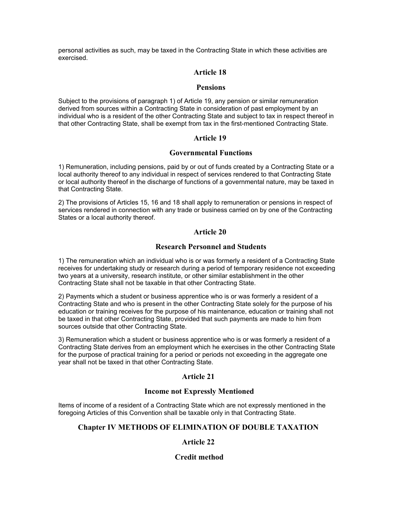personal activities as such, may be taxed in the Contracting State in which these activities are exercised.

## **Article 18**

#### **Pensions**

Subject to the provisions of paragraph 1) of Article 19, any pension or similar remuneration derived from sources within a Contracting State in consideration of past employment by an individual who is a resident of the other Contracting State and subject to tax in respect thereof in that other Contracting State, shall be exempt from tax in the first-mentioned Contracting State.

## **Article 19**

## **Governmental Functions**

1) Remuneration, including pensions, paid by or out of funds created by a Contracting State or a local authority thereof to any individual in respect of services rendered to that Contracting State or local authority thereof in the discharge of functions of a governmental nature, may be taxed in that Contracting State.

2) The provisions of Articles 15, 16 and 18 shall apply to remuneration or pensions in respect of services rendered in connection with any trade or business carried on by one of the Contracting States or a local authority thereof.

## **Article 20**

## **Research Personnel and Students**

1) The remuneration which an individual who is or was formerly a resident of a Contracting State receives for undertaking study or research during a period of temporary residence not exceeding two years at a university, research institute, or other similar establishment in the other Contracting State shall not be taxable in that other Contracting State.

2) Payments which a student or business apprentice who is or was formerly a resident of a Contracting State and who is present in the other Contracting State solely for the purpose of his education or training receives for the purpose of his maintenance, education or training shall not be taxed in that other Contracting State, provided that such payments are made to him from sources outside that other Contracting State.

3) Remuneration which a student or business apprentice who is or was formerly a resident of a Contracting State derives from an employment which he exercises in the other Contracting State for the purpose of practical training for a period or periods not exceeding in the aggregate one year shall not be taxed in that other Contracting State.

## **Article 21**

## **Income not Expressly Mentioned**

Items of income of a resident of a Contracting State which are not expressly mentioned in the foregoing Articles of this Convention shall be taxable only in that Contracting State.

## **Chapter IV METHODS OF ELIMINATION OF DOUBLE TAXATION**

## **Article 22**

## **Credit method**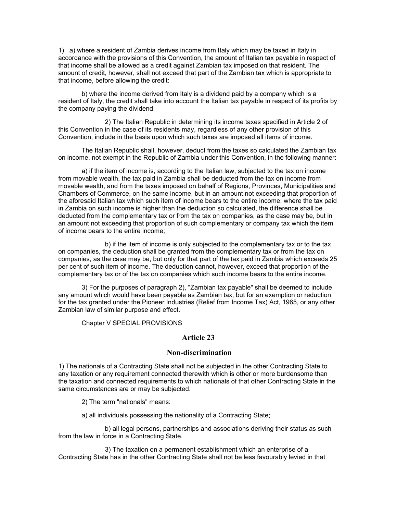1) a) where a resident of Zambia derives income from Italy which may be taxed in Italy in accordance with the provisions of this Convention, the amount of Italian tax payable in respect of that income shall be allowed as a credit against Zambian tax imposed on that resident. The amount of credit, however, shall not exceed that part of the Zambian tax which is appropriate to that income, before allowing the credit:

b) where the income derived from Italy is a dividend paid by a company which is a resident of Italy, the credit shall take into account the Italian tax payable in respect of its profits by the company paying the dividend.

2) The Italian Republic in determining its income taxes specified in Article 2 of this Convention in the case of its residents may, regardless of any other provision of this Convention, include in the basis upon which such taxes are imposed all items of income.

The Italian Republic shall, however, deduct from the taxes so calculated the Zambian tax on income, not exempt in the Republic of Zambia under this Convention, in the following manner:

a) if the item of income is, according to the Italian law, subjected to the tax on income from movable wealth, the tax paid in Zambia shall be deducted from the tax on income from movable wealth, and from the taxes imposed on behalf of Regions, Provinces, Municipalities and Chambers of Commerce, on the same income, but in an amount not exceeding that proportion of the aforesaid Italian tax which such item of income bears to the entire income; where the tax paid in Zambia on such income is higher than the deduction so calculated, the difference shall be deducted from the complementary tax or from the tax on companies, as the case may be, but in an amount not exceeding that proportion of such complementary or company tax which the item of income bears to the entire income;

b) if the item of income is only subjected to the complementary tax or to the tax on companies, the deduction shall be granted from the complementary tax or from the tax on companies, as the case may be, but only for that part of the tax paid in Zambia which exceeds 25 per cent of such item of income. The deduction cannot, however, exceed that proportion of the complementary tax or of the tax on companies which such income bears to the entire income.

3) For the purposes of paragraph 2), "Zambian tax payable" shall be deemed to include any amount which would have been payable as Zambian tax, but for an exemption or reduction for the tax granted under the Pioneer Industries (Relief from Income Tax) Act, 1965, or any other Zambian law of similar purpose and effect.

Chapter V SPECIAL PROVISIONS

#### **Article 23**

#### **Non-discrimination**

1) The nationals of a Contracting State shall not be subjected in the other Contracting State to any taxation or any requirement connected therewith which is other or more burdensome than the taxation and connected requirements to which nationals of that other Contracting State in the same circumstances are or may be subjected.

2) The term "nationals" means:

a) all individuals possessing the nationality of a Contracting State;

b) all legal persons, partnerships and associations deriving their status as such from the law in force in a Contracting State.

3) The taxation on a permanent establishment which an enterprise of a Contracting State has in the other Contracting State shall not be less favourably levied in that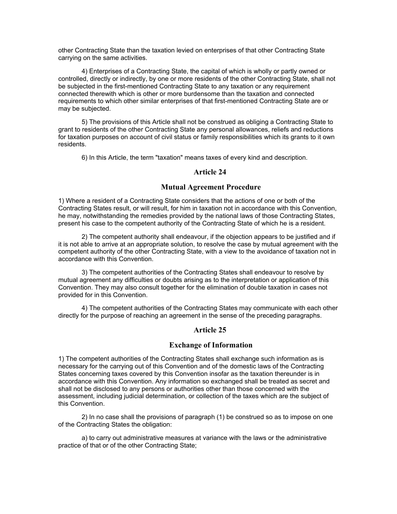other Contracting State than the taxation levied on enterprises of that other Contracting State carrying on the same activities.

4) Enterprises of a Contracting State, the capital of which is wholly or partly owned or controlled, directly or indirectly, by one or more residents of the other Contracting State, shall not be subjected in the first-mentioned Contracting State to any taxation or any requirement connected therewith which is other or more burdensome than the taxation and connected requirements to which other similar enterprises of that first-mentioned Contracting State are or may be subjected.

5) The provisions of this Article shall not be construed as obliging a Contracting State to grant to residents of the other Contracting State any personal allowances, reliefs and reductions for taxation purposes on account of civil status or family responsibilities which its grants to it own residents.

6) In this Article, the term "taxation" means taxes of every kind and description.

## **Article 24**

#### **Mutual Agreement Procedure**

1) Where a resident of a Contracting State considers that the actions of one or both of the Contracting States result, or will result, for him in taxation not in accordance with this Convention, he may, notwithstanding the remedies provided by the national laws of those Contracting States, present his case to the competent authority of the Contracting State of which he is a resident.

2) The competent authority shall endeavour, if the objection appears to be justified and if it is not able to arrive at an appropriate solution, to resolve the case by mutual agreement with the competent authority of the other Contracting State, with a view to the avoidance of taxation not in accordance with this Convention.

3) The competent authorities of the Contracting States shall endeavour to resolve by mutual agreement any difficulties or doubts arising as to the interpretation or application of this Convention. They may also consult together for the elimination of double taxation in cases not provided for in this Convention.

4) The competent authorities of the Contracting States may communicate with each other directly for the purpose of reaching an agreement in the sense of the preceding paragraphs.

#### **Article 25**

#### **Exchange of Information**

1) The competent authorities of the Contracting States shall exchange such information as is necessary for the carrying out of this Convention and of the domestic laws of the Contracting States concerning taxes covered by this Convention insofar as the taxation thereunder is in accordance with this Convention. Any information so exchanged shall be treated as secret and shall not be disclosed to any persons or authorities other than those concerned with the assessment, including judicial determination, or collection of the taxes which are the subject of this Convention.

2) In no case shall the provisions of paragraph (1) be construed so as to impose on one of the Contracting States the obligation:

a) to carry out administrative measures at variance with the laws or the administrative practice of that or of the other Contracting State;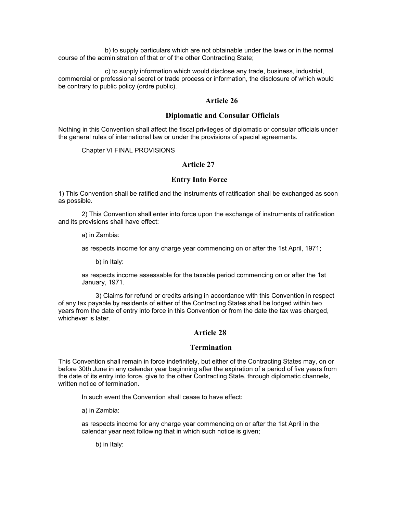b) to supply particulars which are not obtainable under the laws or in the normal course of the administration of that or of the other Contracting State;

c) to supply information which would disclose any trade, business, industrial, commercial or professional secret or trade process or information, the disclosure of which would be contrary to public policy (ordre public).

## **Article 26**

#### **Diplomatic and Consular Officials**

Nothing in this Convention shall affect the fiscal privileges of diplomatic or consular officials under the general rules of international law or under the provisions of special agreements.

Chapter VI FINAL PROVISIONS

#### **Article 27**

#### **Entry Into Force**

1) This Convention shall be ratified and the instruments of ratification shall be exchanged as soon as possible.

2) This Convention shall enter into force upon the exchange of instruments of ratification and its provisions shall have effect:

a) in Zambia:

as respects income for any charge year commencing on or after the 1st April, 1971;

b) in Italy:

as respects income assessable for the taxable period commencing on or after the 1st January, 1971.

3) Claims for refund or credits arising in accordance with this Convention in respect of any tax payable by residents of either of the Contracting States shall be lodged within two years from the date of entry into force in this Convention or from the date the tax was charged, whichever is later.

## **Article 28**

#### **Termination**

This Convention shall remain in force indefinitely, but either of the Contracting States may, on or before 30th June in any calendar year beginning after the expiration of a period of five years from the date of its entry into force, give to the other Contracting State, through diplomatic channels, written notice of termination.

In such event the Convention shall cease to have effect:

a) in Zambia:

as respects income for any charge year commencing on or after the 1st April in the calendar year next following that in which such notice is given;

b) in Italy: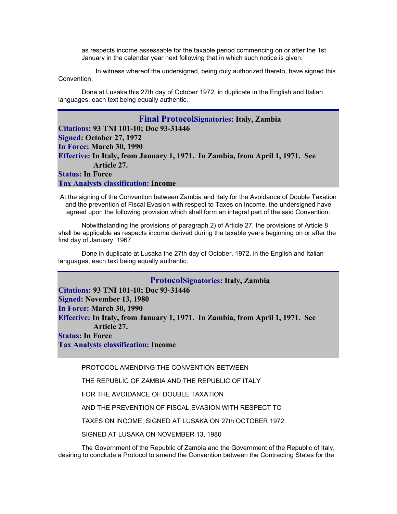as respects income assessable for the taxable period commencing on or after the 1st January in the calendar year next following that in which such notice is given.

In witness whereof the undersigned, being duly authorized thereto, have signed this Convention.

Done at Lusaka this 27th day of October 1972, in duplicate in the English and Italian languages, each text being equally authentic.

**Final ProtocolSignatories: Italy, Zambia Citations: 93 TNI 101-10; Doc 93-31446 Signed: October 27, 1972 In Force: March 30, 1990 Effective: In Italy, from January 1, 1971. In Zambia, from April 1, 1971. See Article 27. Status: In Force** 

**Tax Analysts classification: Income** 

At the signing of the Convention between Zambia and Italy for the Avoidance of Double Taxation and the prevention of Fiscal Evasion with respect to Taxes on Income, the undersigned have agreed upon the following provision which shall form an integral part of the said Convention:

Notwithstanding the provisions of paragraph 2) of Article 27, the provisions of Article 8 shall be applicable as respects income derived during the taxable years beginning on or after the first day of January, 1967.

Done in duplicate at Lusaka the 27th day of October, 1972, in the English and Italian languages, each text being equally authentic.

**ProtocolSignatories: Italy, Zambia Citations: 93 TNI 101-10; Doc 93-31446 Signed: November 13, 1980 In Force: March 30, 1990 Effective: In Italy, from January 1, 1971. In Zambia, from April 1, 1971. See Article 27. Status: In Force Tax Analysts classification: Income** 

PROTOCOL AMENDING THE CONVENTION BETWEEN

THE REPUBLIC OF ZAMBIA AND THE REPUBLIC OF ITALY

FOR THE AVOIDANCE OF DOUBLE TAXATION

AND THE PREVENTION OF FISCAL EVASION WITH RESPECT TO

TAXES ON INCOME, SIGNED AT LUSAKA ON 27th OCTOBER 1972.

SIGNED AT LUSAKA ON NOVEMBER 13, 1980

The Government of the Republic of Zambia and the Government of the Republic of Italy, desiring to conclude a Protocol to amend the Convention between the Contracting States for the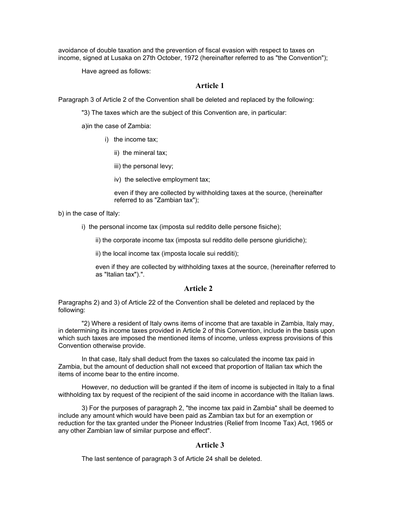avoidance of double taxation and the prevention of fiscal evasion with respect to taxes on income, signed at Lusaka on 27th October, 1972 (hereinafter referred to as "the Convention");

Have agreed as follows:

## **Article 1**

Paragraph 3 of Article 2 of the Convention shall be deleted and replaced by the following:

"3) The taxes which are the subject of this Convention are, in particular:

a)in the case of Zambia:

- i) the income tax;
	- ii) the mineral tax;
	- iii) the personal levy;
	- iv) the selective employment tax;

even if they are collected by withholding taxes at the source, (hereinafter referred to as "Zambian tax");

b) in the case of Italy:

i) the personal income tax (imposta sul reddito delle persone fisiche);

ii) the corporate income tax (imposta sul reddito delle persone giuridiche);

ii) the local income tax (imposta locale sui redditi);

even if they are collected by withholding taxes at the source, (hereinafter referred to as "Italian tax").".

## **Article 2**

Paragraphs 2) and 3) of Article 22 of the Convention shall be deleted and replaced by the following:

"2) Where a resident of Italy owns items of income that are taxable in Zambia, Italy may, in determining its income taxes provided in Article 2 of this Convention, include in the basis upon which such taxes are imposed the mentioned items of income, unless express provisions of this Convention otherwise provide.

In that case, Italy shall deduct from the taxes so calculated the income tax paid in Zambia, but the amount of deduction shall not exceed that proportion of Italian tax which the items of income bear to the entire income.

However, no deduction will be granted if the item of income is subjected in Italy to a final withholding tax by request of the recipient of the said income in accordance with the Italian laws.

3) For the purposes of paragraph 2, "the income tax paid in Zambia" shall be deemed to include any amount which would have been paid as Zambian tax but for an exemption or reduction for the tax granted under the Pioneer Industries (Relief from Income Tax) Act, 1965 or any other Zambian law of similar purpose and effect".

## **Article 3**

The last sentence of paragraph 3 of Article 24 shall be deleted.